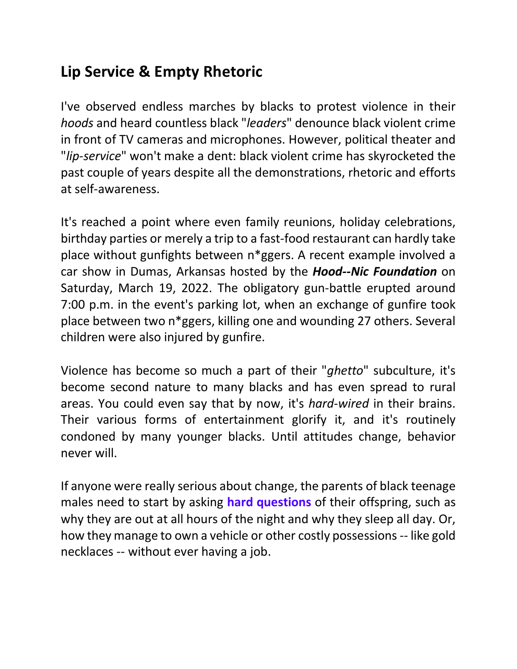## **Lip Service & Empty Rhetoric**

I've observed endless marches by blacks to protest violence in their *hoods* and heard countless black "*leaders*" denounce black violent crime in front of TV cameras and microphones. However, political theater and "*lip-service*" won't make a dent: black violent crime has skyrocketed the past couple of years despite all the demonstrations, rhetoric and efforts at self-awareness.

It's reached a point where even family reunions, holiday celebrations, birthday parties or merely a trip to a fast-food restaurant can hardly take place without gunfights between n\*ggers. A recent example involved a car show in Dumas, Arkansas hosted by the *Hood--Nic Foundation* on Saturday, March 19, 2022. The obligatory gun-battle erupted around 7:00 p.m. in the event's parking lot, when an exchange of gunfire took place between two n\*ggers, killing one and wounding 27 others. Several children were also injured by gunfire.

Violence has become so much a part of their "*ghetto*" subculture, it's become second nature to many blacks and has even spread to rural areas. You could even say that by now, it's *hard-wired* in their brains. Their various forms of entertainment glorify it, and it's routinely condoned by many younger blacks. Until attitudes change, behavior never will.

If anyone were really serious about change, the parents of black teenage males need to start by asking **hard questions** of their offspring, such as why they are out at all hours of the night and why they sleep all day. Or, how they manage to own a vehicle or other costly possessions-- like gold necklaces -- without ever having a job.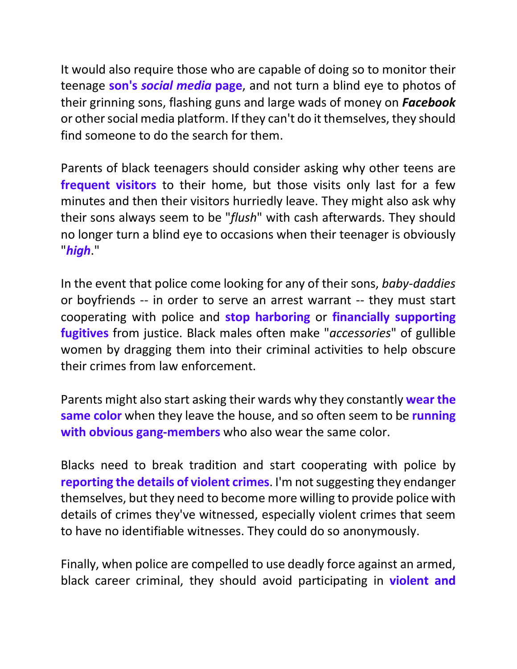It would also require those who are capable of doing so to monitor their teenage **son's** *social media* **page**, and not turn a blind eye to photos of their grinning sons, flashing guns and large wads of money on *Facebook* or other social media platform. If they can't do it themselves, they should find someone to do the search for them.

Parents of black teenagers should consider asking why other teens are **frequent visitors** to their home, but those visits only last for a few minutes and then their visitors hurriedly leave. They might also ask why their sons always seem to be "*flush*" with cash afterwards. They should no longer turn a blind eye to occasions when their teenager is obviously "*high*."

In the event that police come looking for any of their sons, *baby-daddies* or boyfriends -- in order to serve an arrest warrant -- they must start cooperating with police and **stop harboring** or **financially supporting fugitives** from justice. Black males often make "*accessories*" of gullible women by dragging them into their criminal activities to help obscure their crimes from law enforcement.

Parents might also start asking their wards why they constantly **wear the same color** when they leave the house, and so often seem to be **running with obvious gang-members** who also wear the same color.

Blacks need to break tradition and start cooperating with police by **reporting the details of violent crimes**. I'm not suggesting they endanger themselves, but they need to become more willing to provide police with details of crimes they've witnessed, especially violent crimes that seem to have no identifiable witnesses. They could do so anonymously.

Finally, when police are compelled to use deadly force against an armed, black career criminal, they should avoid participating in **violent and**